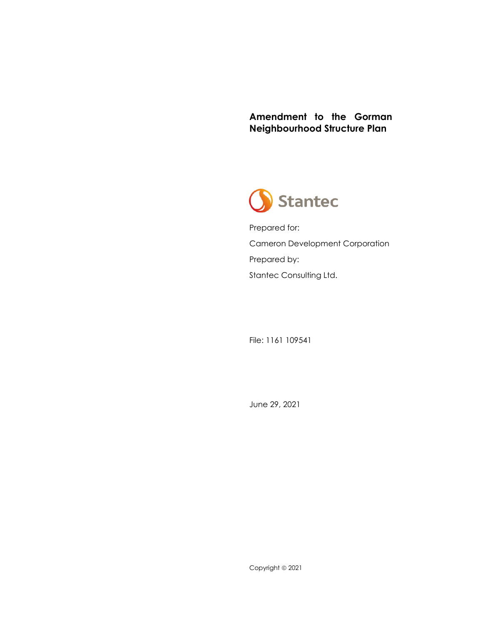**Amendment to the Gorman Neighbourhood Structure Plan**



Prepared for: Cameron Development Corporation Prepared by: Stantec Consulting Ltd.

File: 1161 109541

June 29, 2021

Copyright © 2021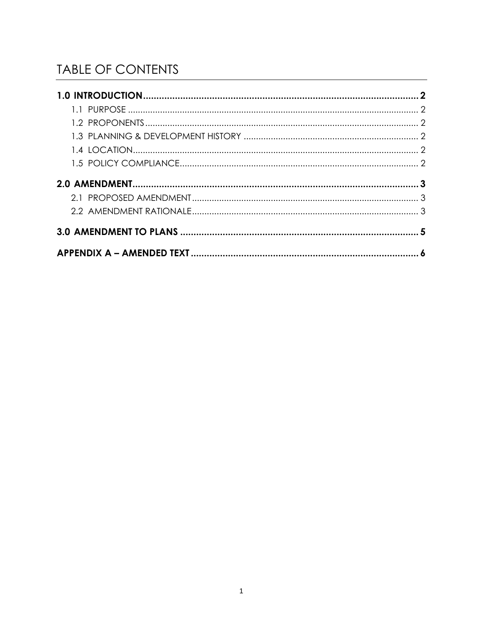# **TABLE OF CONTENTS**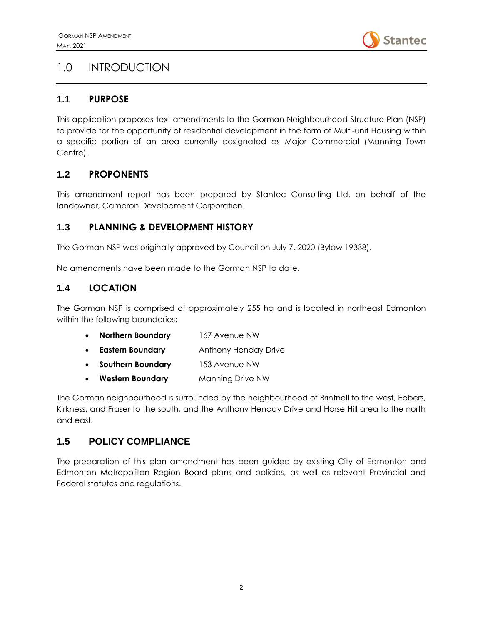

## <span id="page-2-0"></span>1.0 INTRODUCTION

#### <span id="page-2-1"></span>**1.1 PURPOSE**

This application proposes text amendments to the Gorman Neighbourhood Structure Plan (NSP) to provide for the opportunity of residential development in the form of Multi-unit Housing within a specific portion of an area currently designated as Major Commercial (Manning Town Centre).

### <span id="page-2-2"></span>**1.2 PROPONENTS**

This amendment report has been prepared by Stantec Consulting Ltd. on behalf of the landowner, Cameron Development Corporation.

#### <span id="page-2-3"></span>**1.3 PLANNING & DEVELOPMENT HISTORY**

The Gorman NSP was originally approved by Council on July 7, 2020 (Bylaw 19338).

No amendments have been made to the Gorman NSP to date.

#### <span id="page-2-4"></span>**1.4 LOCATION**

The Gorman NSP is comprised of approximately 255 ha and is located in northeast Edmonton within the following boundaries:

| $\bullet$ | <b>Northern Boundary</b> | 167 Avenue NW        |
|-----------|--------------------------|----------------------|
| $\bullet$ | <b>Eastern Boundary</b>  | Anthony Henday Drive |
|           | <b>Southern Boundary</b> | 153 Avenue NW        |
|           | <b>Western Boundary</b>  | Manning Drive NW     |

The Gorman neighbourhood is surrounded by the neighbourhood of Brintnell to the west, Ebbers, Kirkness, and Fraser to the south, and the Anthony Henday Drive and Horse Hill area to the north and east.

### <span id="page-2-5"></span>**1.5 POLICY COMPLIANCE**

The preparation of this plan amendment has been guided by existing City of Edmonton and Edmonton Metropolitan Region Board plans and policies, as well as relevant Provincial and Federal statutes and regulations.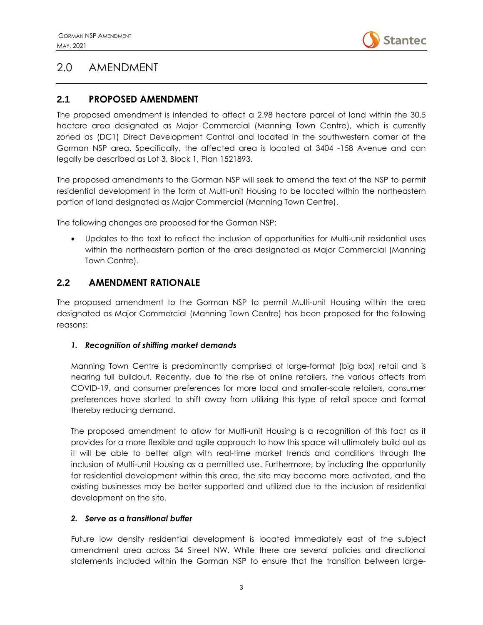

## <span id="page-3-0"></span>2.0 AMENDMENT

### <span id="page-3-1"></span>**2.1 PROPOSED AMENDMENT**

The proposed amendment is intended to affect a 2.98 hectare parcel of land within the 30.5 hectare area designated as Major Commercial (Manning Town Centre), which is currently zoned as (DC1) Direct Development Control and located in the southwestern corner of the Gorman NSP area. Specifically, the affected area is located at 3404 -158 Avenue and can legally be described as Lot 3, Block 1, Plan 1521893.

The proposed amendments to the Gorman NSP will seek to amend the text of the NSP to permit residential development in the form of Multi-unit Housing to be located within the northeastern portion of land designated as Major Commercial (Manning Town Centre).

The following changes are proposed for the Gorman NSP:

• Updates to the text to reflect the inclusion of opportunities for Multi-unit residential uses within the northeastern portion of the area designated as Major Commercial (Manning Town Centre).

#### <span id="page-3-2"></span>**2.2 AMENDMENT RATIONALE**

The proposed amendment to the Gorman NSP to permit Multi-unit Housing within the area designated as Major Commercial (Manning Town Centre) has been proposed for the following reasons:

#### *1. Recognition of shifting market demands*

Manning Town Centre is predominantly comprised of large-format (big box) retail and is nearing full buildout. Recently, due to the rise of online retailers, the various affects from COVID-19, and consumer preferences for more local and smaller-scale retailers, consumer preferences have started to shift away from utilizing this type of retail space and format thereby reducing demand.

The proposed amendment to allow for Multi-unit Housing is a recognition of this fact as it provides for a more flexible and agile approach to how this space will ultimately build out as it will be able to better align with real-time market trends and conditions through the inclusion of Multi-unit Housing as a permitted use. Furthermore, by including the opportunity for residential development within this area, the site may become more activated, and the existing businesses may be better supported and utilized due to the inclusion of residential development on the site.

#### *2. Serve as a transitional buffer*

Future low density residential development is located immediately east of the subject amendment area across 34 Street NW. While there are several policies and directional statements included within the Gorman NSP to ensure that the transition between large-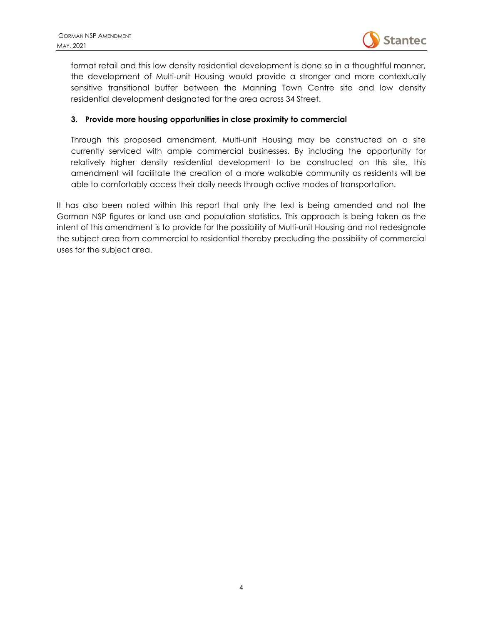

format retail and this low density residential development is done so in a thoughtful manner, the development of Multi-unit Housing would provide a stronger and more contextually sensitive transitional buffer between the Manning Town Centre site and low density residential development designated for the area across 34 Street.

#### **3. Provide more housing opportunities in close proximity to commercial**

Through this proposed amendment, Multi-unit Housing may be constructed on a site currently serviced with ample commercial businesses. By including the opportunity for relatively higher density residential development to be constructed on this site, this amendment will facilitate the creation of a more walkable community as residents will be able to comfortably access their daily needs through active modes of transportation.

It has also been noted within this report that only the text is being amended and not the Gorman NSP figures or land use and population statistics. This approach is being taken as the intent of this amendment is to provide for the possibility of Multi-unit Housing and not redesignate the subject area from commercial to residential thereby precluding the possibility of commercial uses for the subject area.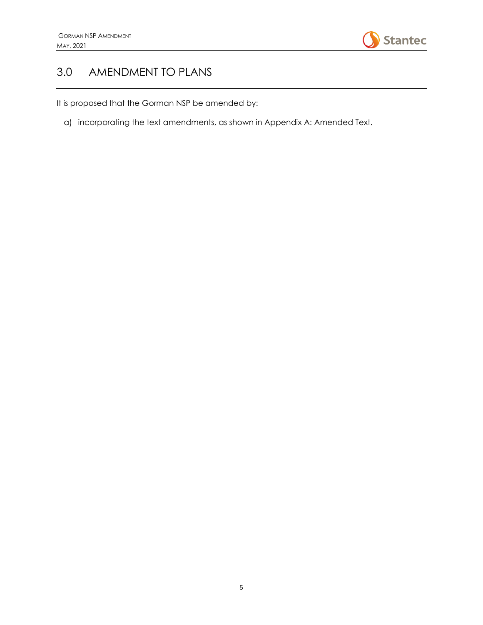

## <span id="page-5-0"></span>3.0 AMENDMENT TO PLANS

It is proposed that the Gorman NSP be amended by:

a) incorporating the text amendments, as shown in Appendix A: Amended Text.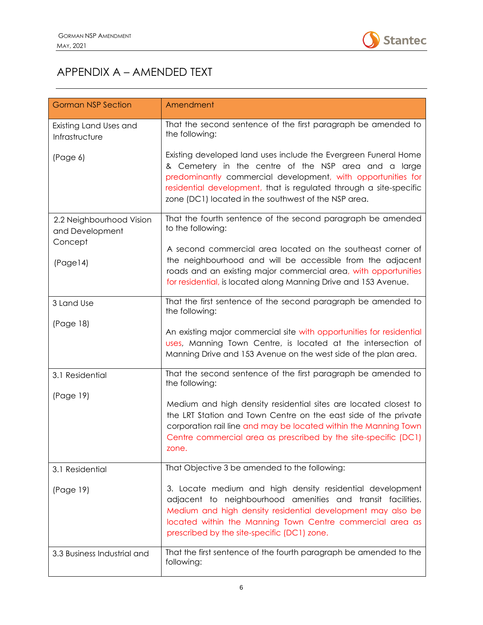

# <span id="page-6-0"></span>APPENDIX A – AMENDED TEXT

| <b>Gorman NSP Section</b>                   | Amendment                                                                                                                                                                                                                                                                                                             |
|---------------------------------------------|-----------------------------------------------------------------------------------------------------------------------------------------------------------------------------------------------------------------------------------------------------------------------------------------------------------------------|
| Existing Land Uses and<br>Infrastructure    | That the second sentence of the first paragraph be amended to<br>the following:                                                                                                                                                                                                                                       |
| (Page 6)                                    | Existing developed land uses include the Evergreen Funeral Home<br>& Cemetery in the centre of the NSP area and a large<br>predominantly commercial development, with opportunities for<br>residential development, that is regulated through a site-specific<br>zone (DC1) located in the southwest of the NSP area. |
| 2.2 Neighbourhood Vision<br>and Development | That the fourth sentence of the second paragraph be amended<br>to the following:                                                                                                                                                                                                                                      |
| Concept<br>(Page14)                         | A second commercial area located on the southeast corner of<br>the neighbourhood and will be accessible from the adjacent<br>roads and an existing major commercial area, with opportunities<br>for residential, is located along Manning Drive and 153 Avenue.                                                       |
| 3 Land Use                                  | That the first sentence of the second paragraph be amended to<br>the following:                                                                                                                                                                                                                                       |
| (Page 18)                                   | An existing major commercial site with opportunities for residential<br>uses, Manning Town Centre, is located at the intersection of<br>Manning Drive and 153 Avenue on the west side of the plan area.                                                                                                               |
| 3.1 Residential                             | That the second sentence of the first paragraph be amended to<br>the following:                                                                                                                                                                                                                                       |
| (Page 19)                                   | Medium and high density residential sites are located closest to<br>the LRT Station and Town Centre on the east side of the private<br>corporation rail line and may be located within the Manning Town<br>Centre commercial area as prescribed by the site-specific (DC1)<br>zone.                                   |
| 3.1 Residential                             | That Objective 3 be amended to the following:                                                                                                                                                                                                                                                                         |
| (Page 19)                                   | 3. Locate medium and high density residential development<br>adjacent to neighbourhood amenities and transit facilities.<br>Medium and high density residential development may also be<br>located within the Manning Town Centre commercial area as<br>prescribed by the site-specific (DC1) zone.                   |
| 3.3 Business Industrial and                 | That the first sentence of the fourth paragraph be amended to the<br>following:                                                                                                                                                                                                                                       |